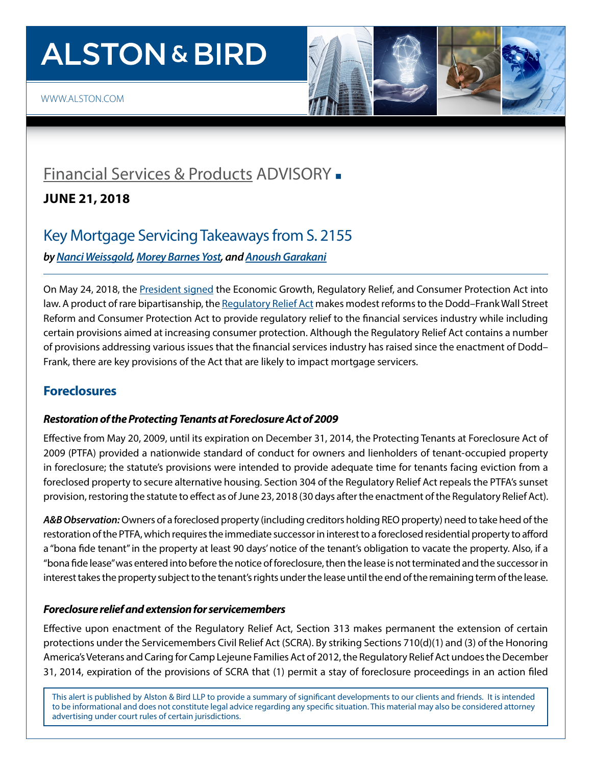# **ALSTON & BIRD**



### [Financial Services & Products](https://www.alston.com/en/services/industries/finance-financial-services/financial-services--products) ADVISORY -

**JUNE 21, 2018**

### Key Mortgage Servicing Takeaways from S. 2155

*by [Nanci Weissgold,](https://www.alston.com/en/professionals/w/weissgold-nanci-l) [Morey Barnes Yost](https://www.alston.com/en/professionals/y/yost-morey-barnes), and [Anoush Garakani](https://www.alston.com/en/professionals/g/garakani-anoush)*

On May 24, 2018, the [President signed](https://www.whitehouse.gov/briefings-statements/president-donald-j-trump-signs-s-2155-law/) the Economic Growth, Regulatory Relief, and Consumer Protection Act into law. A product of rare bipartisanship, the [Regulatory Relief Act](https://www.congress.gov/bill/115th-congress/senate-bill/2155/text) makes modest reforms to the Dodd–Frank Wall Street Reform and Consumer Protection Act to provide regulatory relief to the financial services industry while including certain provisions aimed at increasing consumer protection. Although the Regulatory Relief Act contains a number of provisions addressing various issues that the financial services industry has raised since the enactment of Dodd– Frank, there are key provisions of the Act that are likely to impact mortgage servicers.

#### **Foreclosures**

#### *Restoration of the Protecting Tenants at Foreclosure Act of 2009*

Effective from May 20, 2009, until its expiration on December 31, 2014, the Protecting Tenants at Foreclosure Act of 2009 (PTFA) provided a nationwide standard of conduct for owners and lienholders of tenant-occupied property in foreclosure; the statute's provisions were intended to provide adequate time for tenants facing eviction from a foreclosed property to secure alternative housing. Section 304 of the Regulatory Relief Act repeals the PTFA's sunset provision, restoring the statute to effect as of June 23, 2018 (30 days after the enactment of the Regulatory Relief Act).

*A&B Observation:* Owners of a foreclosed property (including creditors holding REO property) need to take heed of the restoration of the PTFA, which requires the immediate successor in interest to a foreclosed residential property to afford a "bona fide tenant" in the property at least 90 days' notice of the tenant's obligation to vacate the property. Also, if a "bona fide lease" was entered into before the notice of foreclosure, then the lease is not terminated and the successor in interest takes the property subject to the tenant's rights under the lease until the end of the remaining term of the lease.

#### *Foreclosure relief and extension for servicemembers*

Effective upon enactment of the Regulatory Relief Act, Section 313 makes permanent the extension of certain protections under the Servicemembers Civil Relief Act (SCRA). By striking Sections 710(d)(1) and (3) of the Honoring America's Veterans and Caring for Camp Lejeune Families Act of 2012, the Regulatory Relief Act undoes the December 31, 2014, expiration of the provisions of SCRA that (1) permit a stay of foreclosure proceedings in an action filed

This alert is published by Alston & Bird LLP to provide a summary of significant developments to our clients and friends. It is intended to be informational and does not constitute legal advice regarding any specific situation. This material may also be considered attorney advertising under court rules of certain jurisdictions.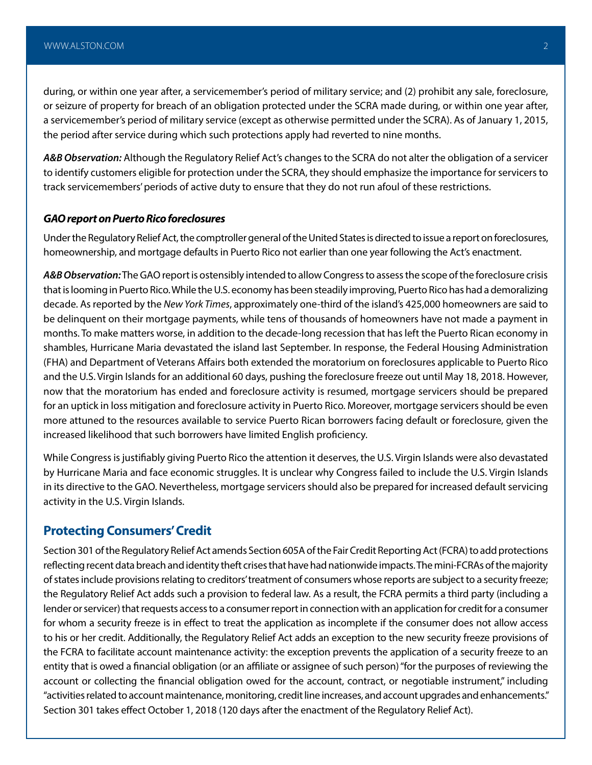during, or within one year after, a servicemember's period of military service; and (2) prohibit any sale, foreclosure, or seizure of property for breach of an obligation protected under the SCRA made during, or within one year after, a servicemember's period of military service (except as otherwise permitted under the SCRA). As of January 1, 2015, the period after service during which such protections apply had reverted to nine months.

*A&B Observation:* Although the Regulatory Relief Act's changes to the SCRA do not alter the obligation of a servicer to identify customers eligible for protection under the SCRA, they should emphasize the importance for servicers to track servicemembers' periods of active duty to ensure that they do not run afoul of these restrictions.

#### *GAO report on Puerto Rico foreclosures*

Under the Regulatory Relief Act, the comptroller general of the United States is directed to issue a report on foreclosures, homeownership, and mortgage defaults in Puerto Rico not earlier than one year following the Act's enactment.

*A&B Observation:* The GAO report is ostensibly intended to allow Congress to assess the scope of the foreclosure crisis that is looming in Puerto Rico. While the U.S. economy has been steadily improving, Puerto Rico has had a demoralizing decade. As reported by the *New York Times*, approximately one-third of the island's 425,000 homeowners are said to be delinquent on their mortgage payments, while tens of thousands of homeowners have not made a payment in months. To make matters worse, in addition to the decade-long recession that has left the Puerto Rican economy in shambles, Hurricane Maria devastated the island last September. In response, the Federal Housing Administration (FHA) and Department of Veterans Affairs both extended the moratorium on foreclosures applicable to Puerto Rico and the U.S. Virgin Islands for an additional 60 days, pushing the foreclosure freeze out until May 18, 2018. However, now that the moratorium has ended and foreclosure activity is resumed, mortgage servicers should be prepared for an uptick in loss mitigation and foreclosure activity in Puerto Rico. Moreover, mortgage servicers should be even more attuned to the resources available to service Puerto Rican borrowers facing default or foreclosure, given the increased likelihood that such borrowers have limited English proficiency.

While Congress is justifiably giving Puerto Rico the attention it deserves, the U.S. Virgin Islands were also devastated by Hurricane Maria and face economic struggles. It is unclear why Congress failed to include the U.S. Virgin Islands in its directive to the GAO. Nevertheless, mortgage servicers should also be prepared for increased default servicing activity in the U.S. Virgin Islands.

#### **Protecting Consumers' Credit**

Section 301 of the Regulatory Relief Act amends Section 605A of the Fair Credit Reporting Act (FCRA) to add protections reflecting recent data breach and identity theft crises that have had nationwide impacts. The mini-FCRAs of the majority of states include provisions relating to creditors' treatment of consumers whose reports are subject to a security freeze; the Regulatory Relief Act adds such a provision to federal law. As a result, the FCRA permits a third party (including a lender or servicer) that requests access to a consumer report in connection with an application for credit for a consumer for whom a security freeze is in effect to treat the application as incomplete if the consumer does not allow access to his or her credit. Additionally, the Regulatory Relief Act adds an exception to the new security freeze provisions of the FCRA to facilitate account maintenance activity: the exception prevents the application of a security freeze to an entity that is owed a financial obligation (or an affiliate or assignee of such person) "for the purposes of reviewing the account or collecting the financial obligation owed for the account, contract, or negotiable instrument," including "activities related to account maintenance, monitoring, credit line increases, and account upgrades and enhancements." Section 301 takes effect October 1, 2018 (120 days after the enactment of the Regulatory Relief Act).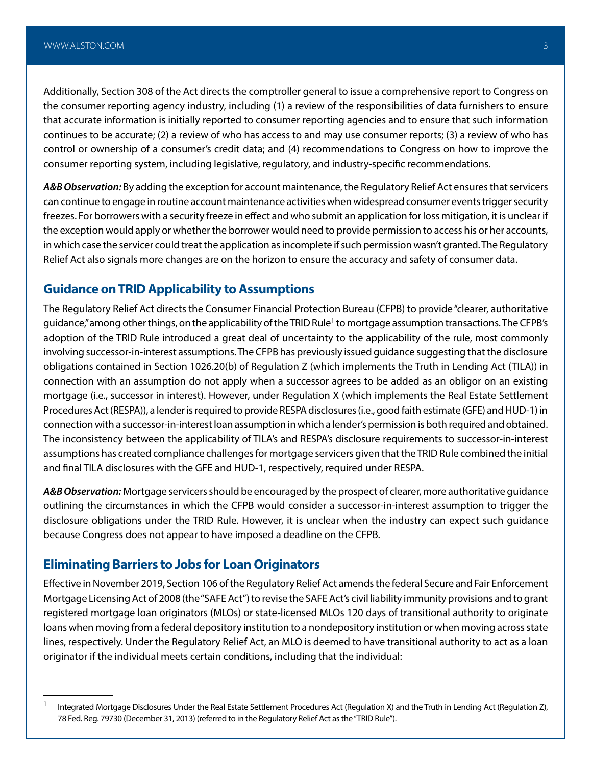Additionally, Section 308 of the Act directs the comptroller general to issue a comprehensive report to Congress on the consumer reporting agency industry, including (1) a review of the responsibilities of data furnishers to ensure that accurate information is initially reported to consumer reporting agencies and to ensure that such information continues to be accurate; (2) a review of who has access to and may use consumer reports; (3) a review of who has control or ownership of a consumer's credit data; and (4) recommendations to Congress on how to improve the consumer reporting system, including legislative, regulatory, and industry-specific recommendations.

*A&B Observation:* By adding the exception for account maintenance, the Regulatory Relief Act ensures that servicers can continue to engage in routine account maintenance activities when widespread consumer events trigger security freezes. For borrowers with a security freeze in effect and who submit an application for loss mitigation, it is unclear if the exception would apply or whether the borrower would need to provide permission to access his or her accounts, in which case the servicer could treat the application as incomplete if such permission wasn't granted. The Regulatory Relief Act also signals more changes are on the horizon to ensure the accuracy and safety of consumer data.

#### **Guidance on TRID Applicability to Assumptions**

The Regulatory Relief Act directs the Consumer Financial Protection Bureau (CFPB) to provide "clearer, authoritative guidance," among other things, on the applicability of the TRID Rule<sup>1</sup> to mortgage assumption transactions. The CFPB's adoption of the TRID Rule introduced a great deal of uncertainty to the applicability of the rule, most commonly involving successor-in-interest assumptions. The CFPB has previously issued guidance suggesting that the disclosure obligations contained in Section 1026.20(b) of Regulation Z (which implements the Truth in Lending Act (TILA)) in connection with an assumption do not apply when a successor agrees to be added as an obligor on an existing mortgage (i.e., successor in interest). However, under Regulation X (which implements the Real Estate Settlement Procedures Act (RESPA)), a lender is required to provide RESPA disclosures (i.e., good faith estimate (GFE) and HUD-1) in connection with a successor-in-interest loan assumption in which a lender's permission is both required and obtained. The inconsistency between the applicability of TILA's and RESPA's disclosure requirements to successor-in-interest assumptions has created compliance challenges for mortgage servicers given that the TRID Rule combined the initial and final TILA disclosures with the GFE and HUD-1, respectively, required under RESPA.

*A&B Observation:* Mortgage servicers should be encouraged by the prospect of clearer, more authoritative guidance outlining the circumstances in which the CFPB would consider a successor-in-interest assumption to trigger the disclosure obligations under the TRID Rule. However, it is unclear when the industry can expect such guidance because Congress does not appear to have imposed a deadline on the CFPB.

#### **Eliminating Barriers to Jobs for Loan Originators**

Effective in November 2019, Section 106 of the Regulatory Relief Act amends the federal Secure and Fair Enforcement Mortgage Licensing Act of 2008 (the "SAFE Act") to revise the SAFE Act's civil liability immunity provisions and to grant registered mortgage loan originators (MLOs) or state-licensed MLOs 120 days of transitional authority to originate loans when moving from a federal depository institution to a nondepository institution or when moving across state lines, respectively. Under the Regulatory Relief Act, an MLO is deemed to have transitional authority to act as a loan originator if the individual meets certain conditions, including that the individual:

<sup>&</sup>lt;sup>1</sup> Integrated Mortgage Disclosures Under the Real Estate Settlement Procedures Act (Regulation X) and the Truth in Lending Act (Regulation Z), 78 Fed. Reg. 79730 (December 31, 2013) (referred to in the Regulatory Relief Act as the "TRID Rule").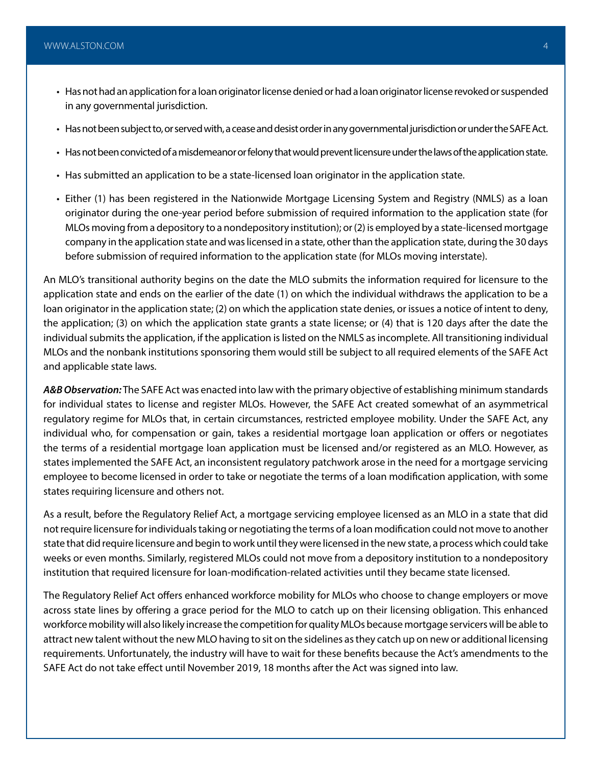- Has not had an application for a loan originator license denied or had a loan originator license revoked or suspended in any governmental jurisdiction.
- Has not been subject to, or served with, a cease and desist order in any governmental jurisdiction or under the SAFE Act.
- Has not been convicted of a misdemeanor or felony that would prevent licensure under the laws of the application state.
- Has submitted an application to be a state-licensed loan originator in the application state.
- Either (1) has been registered in the Nationwide Mortgage Licensing System and Registry (NMLS) as a loan originator during the one-year period before submission of required information to the application state (for MLOs moving from a depository to a nondepository institution); or (2) is employed by a state-licensed mortgage company in the application state and was licensed in a state, other than the application state, during the 30 days before submission of required information to the application state (for MLOs moving interstate).

An MLO's transitional authority begins on the date the MLO submits the information required for licensure to the application state and ends on the earlier of the date (1) on which the individual withdraws the application to be a loan originator in the application state; (2) on which the application state denies, or issues a notice of intent to deny, the application; (3) on which the application state grants a state license; or (4) that is 120 days after the date the individual submits the application, if the application is listed on the NMLS as incomplete. All transitioning individual MLOs and the nonbank institutions sponsoring them would still be subject to all required elements of the SAFE Act and applicable state laws.

*A&B Observation:* The SAFE Act was enacted into law with the primary objective of establishing minimum standards for individual states to license and register MLOs. However, the SAFE Act created somewhat of an asymmetrical regulatory regime for MLOs that, in certain circumstances, restricted employee mobility. Under the SAFE Act, any individual who, for compensation or gain, takes a residential mortgage loan application or offers or negotiates the terms of a residential mortgage loan application must be licensed and/or registered as an MLO. However, as states implemented the SAFE Act, an inconsistent regulatory patchwork arose in the need for a mortgage servicing employee to become licensed in order to take or negotiate the terms of a loan modification application, with some states requiring licensure and others not.

As a result, before the Regulatory Relief Act, a mortgage servicing employee licensed as an MLO in a state that did not require licensure for individuals taking or negotiating the terms of a loan modification could not move to another state that did require licensure and begin to work until they were licensed in the new state, a process which could take weeks or even months. Similarly, registered MLOs could not move from a depository institution to a nondepository institution that required licensure for loan-modification-related activities until they became state licensed.

The Regulatory Relief Act offers enhanced workforce mobility for MLOs who choose to change employers or move across state lines by offering a grace period for the MLO to catch up on their licensing obligation. This enhanced workforce mobility will also likely increase the competition for quality MLOs because mortgage servicers will be able to attract new talent without the new MLO having to sit on the sidelines as they catch up on new or additional licensing requirements. Unfortunately, the industry will have to wait for these benefits because the Act's amendments to the SAFE Act do not take effect until November 2019, 18 months after the Act was signed into law.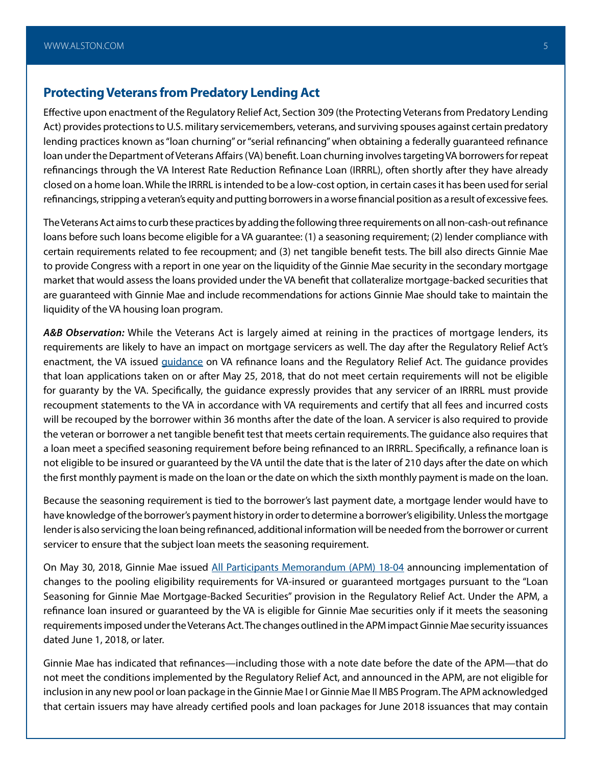#### **Protecting Veterans from Predatory Lending Act**

Effective upon enactment of the Regulatory Relief Act, Section 309 (the Protecting Veterans from Predatory Lending Act) provides protections to U.S. military servicemembers, veterans, and surviving spouses against certain predatory lending practices known as "loan churning" or "serial refinancing" when obtaining a federally guaranteed refinance loan under the Department of Veterans Affairs (VA) benefit. Loan churning involves targeting VA borrowers for repeat refinancings through the VA Interest Rate Reduction Refinance Loan (IRRRL), often shortly after they have already closed on a home loan. While the IRRRL is intended to be a low-cost option, in certain cases it has been used for serial refinancings, stripping a veteran's equity and putting borrowers in a worse financial position as a result of excessive fees.

The Veterans Act aims to curb these practices by adding the following three requirements on all non-cash-out refinance loans before such loans become eligible for a VA guarantee: (1) a seasoning requirement; (2) lender compliance with certain requirements related to fee recoupment; and (3) net tangible benefit tests. The bill also directs Ginnie Mae to provide Congress with a report in one year on the liquidity of the Ginnie Mae security in the secondary mortgage market that would assess the loans provided under the VA benefit that collateralize mortgage-backed securities that are guaranteed with Ginnie Mae and include recommendations for actions Ginnie Mae should take to maintain the liquidity of the VA housing loan program.

*A&B Observation:* While the Veterans Act is largely aimed at reining in the practices of mortgage lenders, its requirements are likely to have an impact on mortgage servicers as well. The day after the Regulatory Relief Act's enactment, the VA issued *guidance* on VA refinance loans and the Regulatory Relief Act. The [guidance](https://www.benefits.va.gov/HOMELOANS/documents/circulars/26_18_13.pdf) provides that loan applications taken on or after May 25, 2018, that do not meet certain requirements will not be eligible for guaranty by the VA. Specifically, the guidance expressly provides that any servicer of an IRRRL must provide recoupment statements to the VA in accordance with VA requirements and certify that all fees and incurred costs will be recouped by the borrower within 36 months after the date of the loan. A servicer is also required to provide the veteran or borrower a net tangible benefit test that meets certain requirements. The guidance also requires that a loan meet a specified seasoning requirement before being refinanced to an IRRRL. Specifically, a refinance loan is not eligible to be insured or guaranteed by the VA until the date that is the later of 210 days after the date on which the first monthly payment is made on the loan or the date on which the sixth monthly payment is made on the loan.

Because the seasoning requirement is tied to the borrower's last payment date, a mortgage lender would have to have knowledge of the borrower's payment history in order to determine a borrower's eligibility. Unless the mortgage lender is also servicing the loan being refinanced, additional information will be needed from the borrower or current servicer to ensure that the subject loan meets the seasoning requirement.

On May 30, 2018, Ginnie Mae issued [All Participants Memorandum \(APM\) 18-04](https://www.ginniemae.gov/issuers/program_guidelines/Lists/MBSGuideAPMsLib/Attachments/87/APM_18-04.pdf) announcing implementation of changes to the pooling eligibility requirements for VA-insured or guaranteed mortgages pursuant to the "Loan Seasoning for Ginnie Mae Mortgage-Backed Securities" provision in the Regulatory Relief Act. Under the APM, a refinance loan insured or guaranteed by the VA is eligible for Ginnie Mae securities only if it meets the seasoning requirements imposed under the Veterans Act. The changes outlined in the APM impact Ginnie Mae security issuances dated June 1, 2018, or later.

Ginnie Mae has indicated that refinances—including those with a note date before the date of the APM—that do not meet the conditions implemented by the Regulatory Relief Act, and announced in the APM, are not eligible for inclusion in any new pool or loan package in the Ginnie Mae I or Ginnie Mae II MBS Program. The APM acknowledged that certain issuers may have already certified pools and loan packages for June 2018 issuances that may contain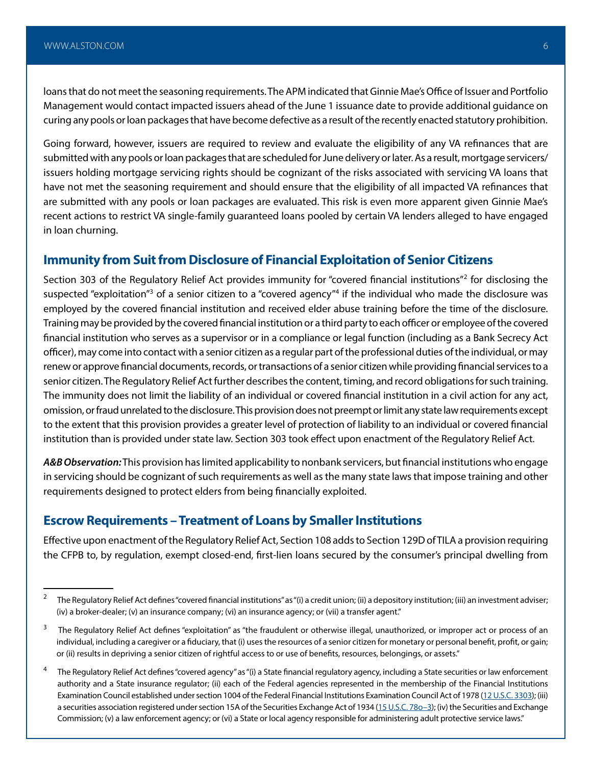loans that do not meet the seasoning requirements. The APM indicated that Ginnie Mae's Office of Issuer and Portfolio Management would contact impacted issuers ahead of the June 1 issuance date to provide additional guidance on curing any pools or loan packages that have become defective as a result of the recently enacted statutory prohibition.

Going forward, however, issuers are required to review and evaluate the eligibility of any VA refinances that are submitted with any pools or loan packages that are scheduled for June delivery or later. As a result, mortgage servicers/ issuers holding mortgage servicing rights should be cognizant of the risks associated with servicing VA loans that have not met the seasoning requirement and should ensure that the eligibility of all impacted VA refinances that are submitted with any pools or loan packages are evaluated. This risk is even more apparent given Ginnie Mae's recent actions to restrict VA single-family guaranteed loans pooled by certain VA lenders alleged to have engaged in loan churning.

#### **Immunity from Suit from Disclosure of Financial Exploitation of Senior Citizens**

Section 303 of the Regulatory Relief Act provides immunity for "covered financial institutions"<sup>2</sup> for disclosing the suspected "exploitation"<sup>3</sup> of a senior citizen to a "covered agency"<sup>4</sup> if the individual who made the disclosure was employed by the covered financial institution and received elder abuse training before the time of the disclosure. Training may be provided by the covered financial institution or a third party to each officer or employee of the covered financial institution who serves as a supervisor or in a compliance or legal function (including as a Bank Secrecy Act officer), may come into contact with a senior citizen as a regular part of the professional duties of the individual, or may renew or approve financial documents, records, or transactions of a senior citizen while providing financial services to a senior citizen. The Regulatory Relief Act further describes the content, timing, and record obligations for such training. The immunity does not limit the liability of an individual or covered financial institution in a civil action for any act, omission, or fraud unrelated to the disclosure. This provision does not preempt or limit any state law requirements except to the extent that this provision provides a greater level of protection of liability to an individual or covered financial institution than is provided under state law. Section 303 took effect upon enactment of the Regulatory Relief Act.

*A&B Observation:* This provision has limited applicability to nonbank servicers, but financial institutions who engage in servicing should be cognizant of such requirements as well as the many state laws that impose training and other requirements designed to protect elders from being financially exploited.

#### **Escrow Requirements – Treatment of Loans by Smaller Institutions**

Effective upon enactment of the Regulatory Relief Act, Section 108 adds to Section 129D of TILA a provision requiring the CFPB to, by regulation, exempt closed-end, first-lien loans secured by the consumer's principal dwelling from

<sup>&</sup>lt;sup>2</sup> The Regulatory Relief Act defines "covered financial institutions" as "(i) a credit union; (ii) a depository institution; (iii) an investment adviser; (iv) a broker-dealer; (v) an insurance company; (vi) an insurance agency; or (vii) a transfer agent."

<sup>&</sup>lt;sup>3</sup> The Regulatory Relief Act defines "exploitation" as "the fraudulent or otherwise illegal, unauthorized, or improper act or process of an individual, including a caregiver or a fiduciary, that (i) uses the resources of a senior citizen for monetary or personal benefit, profit, or gain; or (ii) results in depriving a senior citizen of rightful access to or use of benefits, resources, belongings, or assets."

<sup>&</sup>lt;sup>4</sup> The Regulatory Relief Act defines "covered agency" as "(i) a State financial regulatory agency, including a State securities or law enforcement authority and a State insurance regulator; (ii) each of the Federal agencies represented in the membership of the Financial Institutions Examination Council established under section 1004 of the Federal Financial Institutions Examination Council Act of 1978 ([12 U.S.C. 3303](http://uscode.house.gov/quicksearch/get.plx?title=12§ion=3303)); (iii) a securities association registered under section 15A of the Securities Exchange Act of 1934 (15 U.S.C. 78o-3); (iv) the Securities and Exchange Commission; (v) a law enforcement agency; or (vi) a State or local agency responsible for administering adult protective service laws."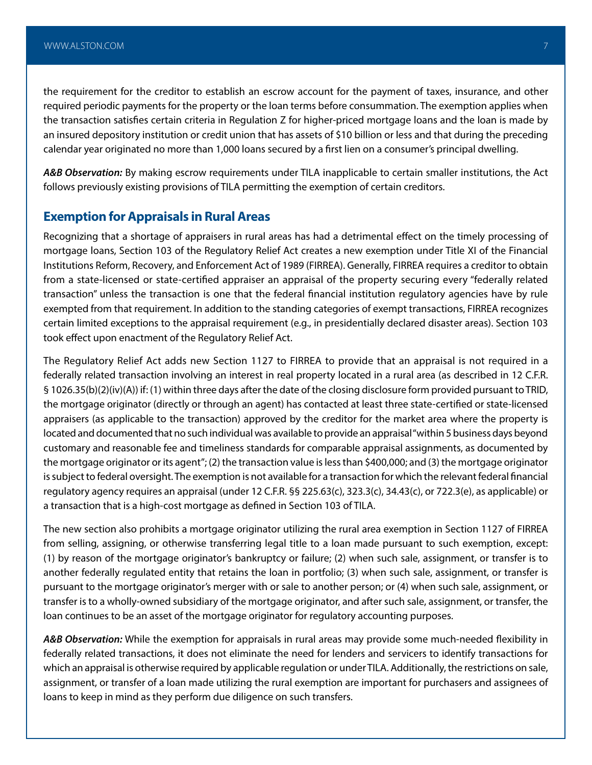the requirement for the creditor to establish an escrow account for the payment of taxes, insurance, and other required periodic payments for the property or the loan terms before consummation. The exemption applies when the transaction satisfies certain criteria in Regulation Z for higher-priced mortgage loans and the loan is made by an insured depository institution or credit union that has assets of \$10 billion or less and that during the preceding calendar year originated no more than 1,000 loans secured by a first lien on a consumer's principal dwelling.

*A&B Observation:* By making escrow requirements under TILA inapplicable to certain smaller institutions, the Act follows previously existing provisions of TILA permitting the exemption of certain creditors.

#### **Exemption for Appraisals in Rural Areas**

Recognizing that a shortage of appraisers in rural areas has had a detrimental effect on the timely processing of mortgage loans, Section 103 of the Regulatory Relief Act creates a new exemption under Title XI of the Financial Institutions Reform, Recovery, and Enforcement Act of 1989 (FIRREA). Generally, FIRREA requires a creditor to obtain from a state-licensed or state-certified appraiser an appraisal of the property securing every "federally related transaction" unless the transaction is one that the federal financial institution regulatory agencies have by rule exempted from that requirement. In addition to the standing categories of exempt transactions, FIRREA recognizes certain limited exceptions to the appraisal requirement (e.g., in presidentially declared disaster areas). Section 103 took effect upon enactment of the Regulatory Relief Act.

The Regulatory Relief Act adds new Section 1127 to FIRREA to provide that an appraisal is not required in a federally related transaction involving an interest in real property located in a rural area (as described in 12 C.F.R. § 1026.35(b)(2)(iv)(A)) if: (1) within three days after the date of the closing disclosure form provided pursuant to TRID, the mortgage originator (directly or through an agent) has contacted at least three state-certified or state-licensed appraisers (as applicable to the transaction) approved by the creditor for the market area where the property is located and documented that no such individual was available to provide an appraisal "within 5 business days beyond customary and reasonable fee and timeliness standards for comparable appraisal assignments, as documented by the mortgage originator or its agent"; (2) the transaction value is less than \$400,000; and (3) the mortgage originator is subject to federal oversight. The exemption is not available for a transaction for which the relevant federal financial regulatory agency requires an appraisal (under 12 C.F.R. §§ 225.63(c), 323.3(c), 34.43(c), or 722.3(e), as applicable) or a transaction that is a high-cost mortgage as defined in Section 103 of TILA.

The new section also prohibits a mortgage originator utilizing the rural area exemption in Section 1127 of FIRREA from selling, assigning, or otherwise transferring legal title to a loan made pursuant to such exemption, except: (1) by reason of the mortgage originator's bankruptcy or failure; (2) when such sale, assignment, or transfer is to another federally regulated entity that retains the loan in portfolio; (3) when such sale, assignment, or transfer is pursuant to the mortgage originator's merger with or sale to another person; or (4) when such sale, assignment, or transfer is to a wholly-owned subsidiary of the mortgage originator, and after such sale, assignment, or transfer, the loan continues to be an asset of the mortgage originator for regulatory accounting purposes.

*A&B Observation:* While the exemption for appraisals in rural areas may provide some much-needed flexibility in federally related transactions, it does not eliminate the need for lenders and servicers to identify transactions for which an appraisal is otherwise required by applicable regulation or under TILA. Additionally, the restrictions on sale, assignment, or transfer of a loan made utilizing the rural exemption are important for purchasers and assignees of loans to keep in mind as they perform due diligence on such transfers.